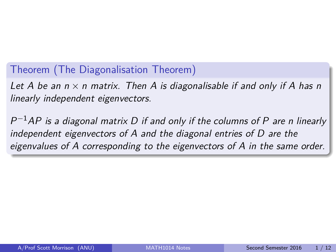## <span id="page-0-0"></span>Theorem (The Diagonalisation Theorem)

Let A be an  $n \times n$  matrix. Then A is diagonalisable if and only if A has n linearly independent eigenvectors.

 $P^{-1}AP$  is a diagonal matrix D if and only if the columns of P are n linearly independent eigenvectors of A and the diagonal entries of D are the eigenvalues of A corresponding to the eigenvectors of A in the same order.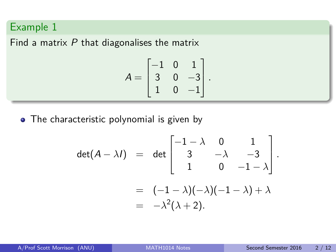Find a matrix  $P$  that diagonalises the matrix

$$
A = \begin{bmatrix} -1 & 0 & 1 \\ 3 & 0 & -3 \\ 1 & 0 & -1 \end{bmatrix}.
$$

• The characteristic polynomial is given by

$$
\det(A - \lambda I) = \det \begin{bmatrix} -1 - \lambda & 0 & 1 \\ 3 & -\lambda & -3 \\ 1 & 0 & -1 - \lambda \end{bmatrix}.
$$

$$
= (-1 - \lambda)(-\lambda)(-1 - \lambda) + \lambda
$$

$$
= -\lambda^2(\lambda + 2).
$$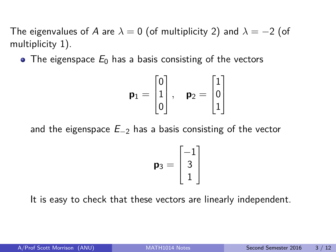The eigenvalues of A are  $\lambda = 0$  (of multiplicity 2) and  $\lambda = -2$  (of multiplicity 1).

• The eigenspace  $E_0$  has a basis consisting of the vectors

$$
\textbf{p}_1 = \begin{bmatrix} 0 \\ 1 \\ 0 \end{bmatrix}, \quad \textbf{p}_2 = \begin{bmatrix} 1 \\ 0 \\ 1 \end{bmatrix}
$$

and the eigenspace  $E_{-2}$  has a basis consisting of the vector

$$
\mathbf{p}_3 = \begin{bmatrix} -1 \\ 3 \\ 1 \end{bmatrix}
$$

It is easy to check that these vectors are linearly independent.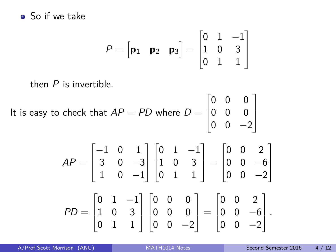#### • So if we take

$$
P = \begin{bmatrix} \mathbf{p}_1 & \mathbf{p}_2 & \mathbf{p}_3 \end{bmatrix} = \begin{bmatrix} 0 & 1 & -1 \\ 1 & 0 & 3 \\ 0 & 1 & 1 \end{bmatrix}
$$

then P is invertible.

It is easy to check that 
$$
AP = PD
$$
 where  $D = \begin{bmatrix} 0 & 0 & 0 \\ 0 & 0 & 0 \\ 0 & 0 & -2 \end{bmatrix}$ 

$$
AP = \begin{bmatrix} -1 & 0 & 1 \\ 3 & 0 & -3 \\ 1 & 0 & -1 \end{bmatrix} \begin{bmatrix} 0 & 1 & -1 \\ 1 & 0 & 3 \\ 0 & 1 & 1 \end{bmatrix} = \begin{bmatrix} 0 & 0 & 2 \\ 0 & 0 & -6 \\ 0 & 0 & -2 \end{bmatrix}
$$

$$
PD = \begin{bmatrix} 0 & 1 & -1 \\ 1 & 0 & 3 \\ 0 & 1 & 1 \end{bmatrix} \begin{bmatrix} 0 & 0 & 0 \\ 0 & 0 & 0 \\ 0 & 0 & -2 \end{bmatrix} = \begin{bmatrix} 0 & 0 & 2 \\ 0 & 0 & -6 \\ 0 & 0 & -2 \end{bmatrix}.
$$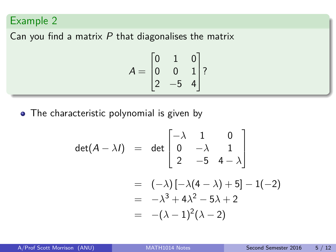Can you find a matrix  $P$  that diagonalises the matrix

$$
A = \begin{bmatrix} 0 & 1 & 0 \\ 0 & 0 & 1 \\ 2 & -5 & 4 \end{bmatrix}
$$
?

• The characteristic polynomial is given by

$$
\det(A - \lambda I) = \det \begin{bmatrix} -\lambda & 1 & 0 \\ 0 & -\lambda & 1 \\ 2 & -5 & 4 - \lambda \end{bmatrix}
$$
  
=  $(-\lambda) [-\lambda(4 - \lambda) + 5] - 1(-2)$   
=  $-\lambda^3 + 4\lambda^2 - 5\lambda + 2$   
=  $-(\lambda - 1)^2(\lambda - 2)$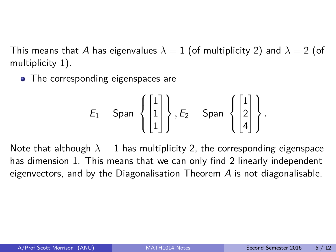This means that A has eigenvalues  $\lambda = 1$  (of multiplicity 2) and  $\lambda = 2$  (of multiplicity 1).

• The corresponding eigenspaces are

$$
E_1 = \text{Span} \left\{ \begin{bmatrix} 1 \\ 1 \\ 1 \end{bmatrix} \right\}, E_2 = \text{Span} \left\{ \begin{bmatrix} 1 \\ 2 \\ 4 \end{bmatrix} \right\}.
$$

Note that although  $\lambda = 1$  has multiplicity 2, the corresponding eigenspace has dimension 1. This means that we can only find 2 linearly independent eigenvectors, and by the Diagonalisation Theorem  $\overline{A}$  is not diagonalisable.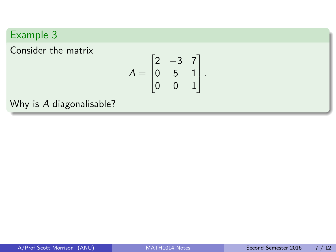Consider the matrix

$$
A = \begin{bmatrix} 2 & -3 & 7 \\ 0 & 5 & 1 \\ 0 & 0 & 1 \end{bmatrix}.
$$

Why is A diagonalisable?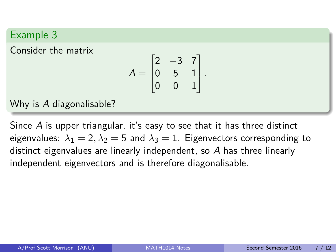Consider the matrix

$$
A = \begin{bmatrix} 2 & -3 & 7 \\ 0 & 5 & 1 \\ 0 & 0 & 1 \end{bmatrix}.
$$

Why is A diagonalisable?

Since A is upper triangular, it's easy to see that it has three distinct eigenvalues:  $\lambda_1 = 2, \lambda_2 = 5$  and  $\lambda_3 = 1$ . Eigenvectors corresponding to distinct eigenvalues are linearly independent, so A has three linearly independent eigenvectors and is therefore diagonalisable.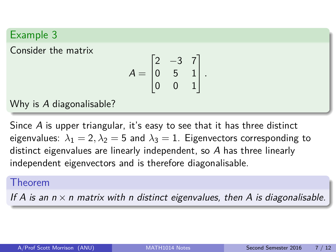Consider the matrix

$$
A = \begin{bmatrix} 2 & -3 & 7 \\ 0 & 5 & 1 \\ 0 & 0 & 1 \end{bmatrix}.
$$

Why is A diagonalisable?

Since A is upper triangular, it's easy to see that it has three distinct eigenvalues:  $\lambda_1 = 2$ ,  $\lambda_2 = 5$  and  $\lambda_3 = 1$ . Eigenvectors corresponding to distinct eigenvalues are linearly independent, so A has three linearly independent eigenvectors and is therefore diagonalisable.

#### Theorem

If A is an  $n \times n$  matrix with n distinct eigenvalues, then A is diagonalisable.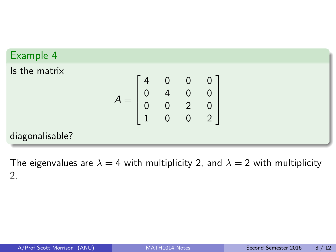#### Example 4 Is the matrix  $A =$  $\sqrt{ }$  4 0 0 0 0 4 0 0 0 0 2 0 1 0 0 2 1  $\begin{array}{c} \n \downarrow \\ \n \downarrow \n \end{array}$ diagonalisable?

The eigenvalues are  $\lambda = 4$  with multiplicity 2, and  $\lambda = 2$  with multiplicity 2.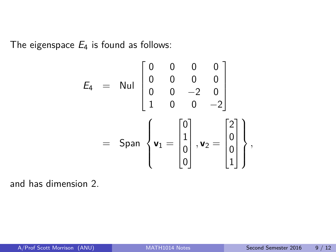The eigenspace  $E_4$  is found as follows:

$$
E_4 = \text{Nul} \begin{bmatrix} 0 & 0 & 0 & 0 \\ 0 & 0 & 0 & 0 \\ 0 & 0 & -2 & 0 \\ 1 & 0 & 0 & -2 \end{bmatrix}
$$
  
= \text{Span} \begin{Bmatrix} 0 \\ 1 \\ 0 \\ 0 \end{Bmatrix}, \mathbf{v}\_2 = \begin{bmatrix} 2 \\ 0 \\ 0 \\ 1 \end{bmatrix},

and has dimension 2.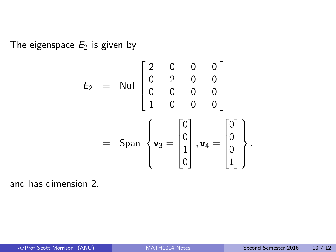The eigenspace  $E_2$  is given by

$$
E_2 = \text{Nul} \begin{bmatrix} 2 & 0 & 0 & 0 \\ 0 & 2 & 0 & 0 \\ 0 & 0 & 0 & 0 \\ 1 & 0 & 0 & 0 \end{bmatrix}
$$
  
= \text{Span} \begin{Bmatrix} 0 \\ 0 \\ 1 \\ 0 \end{Bmatrix}, \mathbf{v}\_4 = \begin{bmatrix} 0 \\ 0 \\ 0 \\ 1 \end{bmatrix},

and has dimension 2.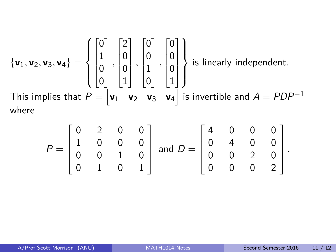$$
\{\mathbf{v}_1, \mathbf{v}_2, \mathbf{v}_3, \mathbf{v}_4\} = \left\{ \begin{bmatrix} 0 \\ 1 \\ 0 \\ 0 \end{bmatrix}, \begin{bmatrix} 2 \\ 0 \\ 0 \\ 1 \end{bmatrix}, \begin{bmatrix} 0 \\ 0 \\ 1 \\ 0 \end{bmatrix}, \begin{bmatrix} 0 \\ 0 \\ 0 \\ 1 \end{bmatrix} \right\}
$$
 is linearly independent.  
This implies that  $P = \begin{bmatrix} \mathbf{v}_1 & \mathbf{v}_2 & \mathbf{v}_3 & \mathbf{v}_4 \end{bmatrix}$  is invertible and  $A = PDP^{-1}$   
where

$$
P = \begin{bmatrix} 0 & 2 & 0 & 0 \\ 1 & 0 & 0 & 0 \\ 0 & 0 & 1 & 0 \\ 0 & 1 & 0 & 1 \end{bmatrix} \text{ and } D = \begin{bmatrix} 4 & 0 & 0 & 0 \\ 0 & 4 & 0 & 0 \\ 0 & 0 & 2 & 0 \\ 0 & 0 & 0 & 2 \end{bmatrix}.
$$